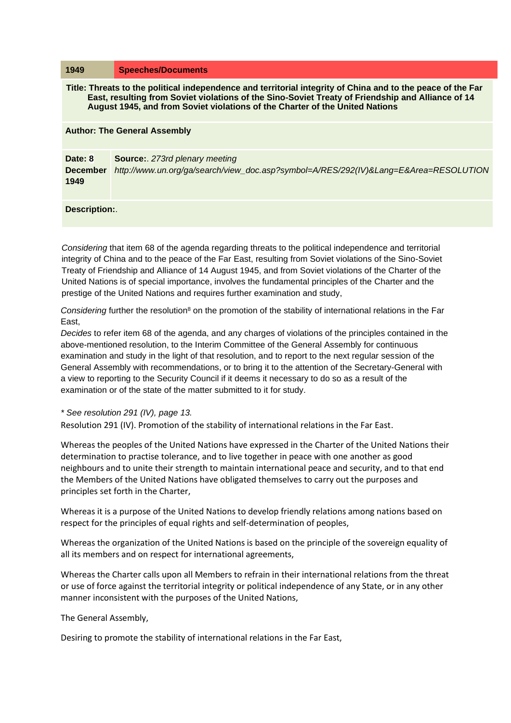| 1949                                                                                                                                                                                                                                                                                             | <b>Speeches/Documents</b>                                                                                                |
|--------------------------------------------------------------------------------------------------------------------------------------------------------------------------------------------------------------------------------------------------------------------------------------------------|--------------------------------------------------------------------------------------------------------------------------|
| Title: Threats to the political independence and territorial integrity of China and to the peace of the Far<br>East, resulting from Soviet violations of the Sino-Soviet Treaty of Friendship and Alliance of 14<br>August 1945, and from Soviet violations of the Charter of the United Nations |                                                                                                                          |
| <b>Author: The General Assembly</b>                                                                                                                                                                                                                                                              |                                                                                                                          |
| Date: 8<br><b>December</b><br>1949                                                                                                                                                                                                                                                               | <b>Source:</b> 273rd plenary meeting<br>http://www.un.org/ga/search/view_doc.asp?symbol=A/RES/292(IV)⟪=E&Area=RESOLUTION |
| Description:.                                                                                                                                                                                                                                                                                    |                                                                                                                          |

*Considering* that item 68 of the agenda regarding threats to the political independence and territorial integrity of China and to the peace of the Far East, resulting from Soviet violations of the Sino-Soviet Treaty of Friendship and Alliance of 14 August 1945, and from Soviet violations of the Charter of the United Nations is of special importance, involves the fundamental principles of the Charter and the prestige of the United Nations and requires further examination and study,

*Considering* further the resolution<sup>8</sup> on the promotion of the stability of international relations in the Far East,

*Decides* to refer item 68 of the agenda, and any charges of violations of the principles contained in the above-mentioned resolution, to the Interim Committee of the General Assembly for continuous examination and study in the light of that resolution, and to report to the next regular session of the General Assembly with recommendations, or to bring it to the attention of the Secretary-General with a view to reporting to the Security Council if it deems it necessary to do so as a result of the examination or of the state of the matter submitted to it for study.

*\* See resolution 291 (IV), page 13.*

Resolution 291 (IV). Promotion of the stability of international relations in the Far East.

Whereas the peoples of the United Nations have expressed in the Charter of the United Nations their determination to practise tolerance, and to live together in peace with one another as good neighbours and to unite their strength to maintain international peace and security, and to that end the Members of the United Nations have obligated themselves to carry out the purposes and principles set forth in the Charter,

Whereas it is a purpose of the United Nations to develop friendly relations among nations based on respect for the principles of equal rights and self-determination of peoples,

Whereas the organization of the United Nations is based on the principle of the sovereign equality of all its members and on respect for international agreements,

Whereas the Charter calls upon all Members to refrain in their international relations from the threat or use of force against the territorial integrity or political independence of any State, or in any other manner inconsistent with the purposes of the United Nations,

The General Assembly,

Desiring to promote the stability of international relations in the Far East,